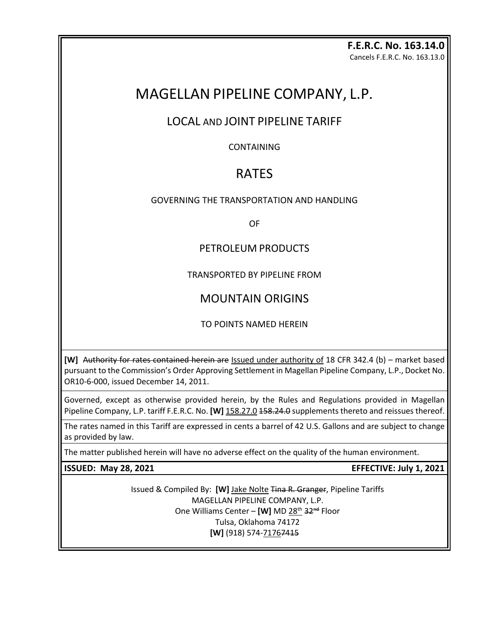#### **F.E.R.C. No. 163.14.0** Cancels F.E.R.C. No. 163.13.0

# MAGELLAN PIPELINE COMPANY, L.P.

## LOCAL AND JOINT PIPELINE TARIFF

CONTAINING

# RATES

### GOVERNING THE TRANSPORTATION AND HANDLING

OF

### PETROLEUM PRODUCTS

TRANSPORTED BY PIPELINE FROM

## MOUNTAIN ORIGINS

TO POINTS NAMED HEREIN

**[W]** Authority for rates contained herein are Issued under authority of 18 CFR 342.4 (b) – market based pursuant to the Commission's Order Approving Settlement in Magellan Pipeline Company, L.P., Docket No. OR10-6-000, issued December 14, 2011.

Governed, except as otherwise provided herein, by the Rules and Regulations provided in Magellan Pipeline Company, L.P. tariff F.E.R.C. No. **[W]** 158.27.0 158.24.0 supplements thereto and reissues thereof.

The rates named in this Tariff are expressed in cents a barrel of 42 U.S. Gallons and are subject to change as provided by law.

The matter published herein will have no adverse effect on the quality of the human environment.

**ISSUED: May 28, 2021 EFFECTIVE: July 1, 2021** 

Issued & Compiled By: **[W]** Jake Nolte Tina R. Granger, Pipeline Tariffs MAGELLAN PIPELINE COMPANY, L.P. One Williams Center – [W] MD 28<sup>th</sup> 32<sup>nd</sup> Floor Tulsa, Oklahoma 74172 **[W]** (918) 574-71767415